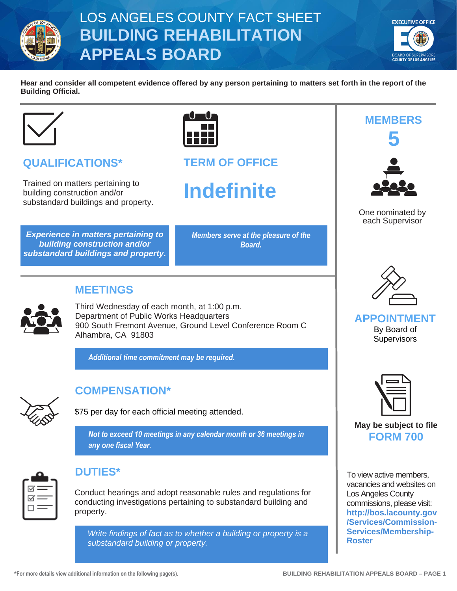

# LOS ANGELES COUNTY FACT SHEET **BUILDING REHABILITATION APPEALS BOARD**



**Hear and consider all competent evidence offered by any person pertaining to matters set forth in the report of the Building Official.**



# **QUALIFICATIONS\***

Trained on matters pertaining to building construction and/or substandard buildings and property.

*Experience in matters pertaining to building construction and/or substandard buildings and property.*



# **TERM OF OFFICE**

# **Indefinite**

*Members serve at the pleasure of the Board.*



### **MEETINGS**

Third Wednesday of each month, at 1:00 p.m. Department of Public Works Headquarters 900 South Fremont Avenue, Ground Level Conference Room C Alhambra, CA 91803

*Additional time commitment may be required.*



# **COMPENSATION\***

\$75 per day for each official meeting attended.

*Not to exceed 10 meetings in any calendar month or 36 meetings in any one fiscal Year.*



#### **DUTIES\***

Conduct hearings and adopt reasonable rules and regulations for conducting investigations pertaining to substandard building and property.

*Write findings of fact as to whether a building or property is a substandard building or property.*



**MEMBERS**

One nominated by each Supervisor



**APPOINTMENT** By Board of **Supervisors** 



**May be subject to file FORM 700**

To view active members, vacancies and websites on Los Angeles County commissions, please visit: **[http://bos.lacounty.gov](http://bos.lacounty.gov/Services/Commission-Services/Membership-Roster) [/Services/Commission-](http://bos.lacounty.gov/Services/Commission-Services/Membership-Roster)[Services/Membership-](http://bos.lacounty.gov/Services/Commission-Services/Membership-Roster)[Roster](http://bos.lacounty.gov/Services/Commission-Services/Membership-Roster)**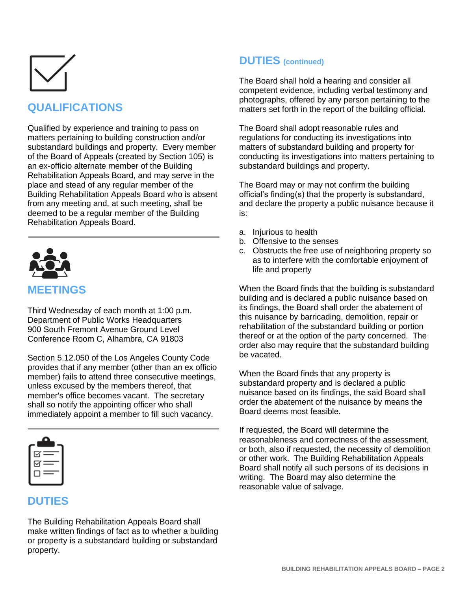

## **QUALIFICATIONS**

Qualified by experience and training to pass on matters pertaining to building construction and/or substandard buildings and property. Every member of the Board of Appeals (created by Section 105) is an ex-officio alternate member of the Building Rehabilitation Appeals Board, and may serve in the place and stead of any regular member of the Building Rehabilitation Appeals Board who is absent from any meeting and, at such meeting, shall be deemed to be a regular member of the Building Rehabilitation Appeals Board.



#### **MEETINGS**

Third Wednesday of each month at 1:00 p.m. Department of Public Works Headquarters 900 South Fremont Avenue Ground Level Conference Room C, Alhambra, CA 91803

Section 5.12.050 of the Los Angeles County Code provides that if any member (other than an ex officio member) fails to attend three consecutive meetings, unless excused by the members thereof, that member's office becomes vacant. The secretary shall so notify the appointing officer who shall immediately appoint a member to fill such vacancy.

| $\leq$    |  |
|-----------|--|
| $\Join =$ |  |
| —         |  |

# **DUTIES**

The Building Rehabilitation Appeals Board shall make written findings of fact as to whether a building or property is a substandard building or substandard property.

#### **DUTIES (continued)**

The Board shall hold a hearing and consider all competent evidence, including verbal testimony and photographs, offered by any person pertaining to the matters set forth in the report of the building official.

The Board shall adopt reasonable rules and regulations for conducting its investigations into matters of substandard building and property for conducting its investigations into matters pertaining to substandard buildings and property.

The Board may or may not confirm the building official's finding(s) that the property is substandard, and declare the property a public nuisance because it is:

- a. Injurious to health
- b. Offensive to the senses
- c. Obstructs the free use of neighboring property so as to interfere with the comfortable enjoyment of life and property

When the Board finds that the building is substandard building and is declared a public nuisance based on its findings, the Board shall order the abatement of this nuisance by barricading, demolition, repair or rehabilitation of the substandard building or portion thereof or at the option of the party concerned. The order also may require that the substandard building be vacated.

When the Board finds that any property is substandard property and is declared a public nuisance based on its findings, the said Board shall order the abatement of the nuisance by means the Board deems most feasible.

If requested, the Board will determine the reasonableness and correctness of the assessment, or both, also if requested, the necessity of demolition or other work. The Building Rehabilitation Appeals Board shall notify all such persons of its decisions in writing. The Board may also determine the reasonable value of salvage.